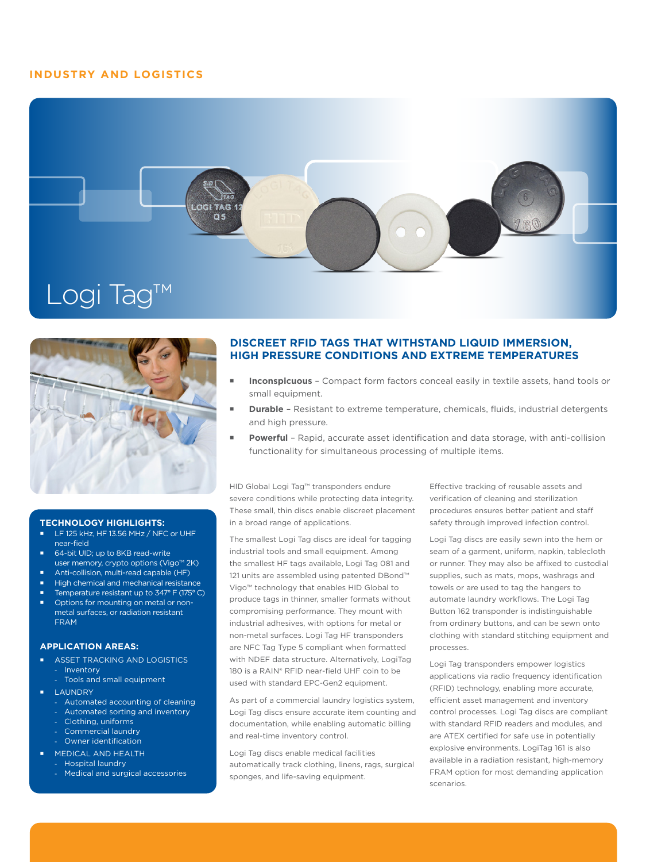## **INDUSTRY AND LOGISTICS**





#### **TECHNOLOGY HIGHLIGHTS:**

- LF 125 kHz, HF 13.56 MHz / NFC or UHF near-field
- 64-bit UID; up to 8KB read-write user memory, crypto options (Vigo™ 2K)
- Anti-collision, multi-read capable (HF)
- High chemical and mechanical resistance
- Temperature resistant up to 347° F (175° C)
- Options for mounting on metal or nonmetal surfaces, or radiation resistant FRAM

### **APPLICATION AREAS:**

- ASSET TRACKING AND LOGISTICS
- **Inventory**
- Tools and small equipment
- LAUNDRY
	- Automated accounting of cleaning
	- Automated sorting and inventory
	- Clothing, uniforms
	- Commercial laundry Owner identification
	- MEDICAL AND HEALTH
- Hospital laundry
	- Medical and surgical accessories

## **DISCREET RFID TAGS THAT WITHSTAND LIQUID IMMERSION, HIGH PRESSURE CONDITIONS AND EXTREME TEMPERATURES**

- **Inconspicuous**  Compact form factors conceal easily in textile assets, hand tools or small equipment.
- **Durable**  Resistant to extreme temperature, chemicals, fluids, industrial detergents and high pressure.
- **Powerful** Rapid, accurate asset identification and data storage, with anti-collision functionality for simultaneous processing of multiple items.

HID Global Logi Tag™ transponders endure severe conditions while protecting data integrity. These small, thin discs enable discreet placement in a broad range of applications.

The smallest Logi Tag discs are ideal for tagging industrial tools and small equipment. Among the smallest HF tags available, Logi Tag 081 and 121 units are assembled using patented DBond™ Vigo™ technology that enables HID Global to produce tags in thinner, smaller formats without compromising performance. They mount with industrial adhesives, with options for metal or non-metal surfaces. Logi Tag HF transponders are NFC Tag Type 5 compliant when formatted with NDEF data structure. Alternatively, LogiTag 180 is a RAIN® RFID near-field UHF coin to be used with standard EPC-Gen2 equipment.

As part of a commercial laundry logistics system, Logi Tag discs ensure accurate item counting and documentation, while enabling automatic billing and real-time inventory control.

Logi Tag discs enable medical facilities automatically track clothing, linens, rags, surgical sponges, and life-saving equipment.

Effective tracking of reusable assets and verification of cleaning and sterilization procedures ensures better patient and staff safety through improved infection control.

Logi Tag discs are easily sewn into the hem or seam of a garment, uniform, napkin, tablecloth or runner. They may also be affixed to custodial supplies, such as mats, mops, washrags and towels or are used to tag the hangers to automate laundry workflows. The Logi Tag Button 162 transponder is indistinguishable from ordinary buttons, and can be sewn onto clothing with standard stitching equipment and processes.

Logi Tag transponders empower logistics applications via radio frequency identification (RFID) technology, enabling more accurate, efficient asset management and inventory control processes. Logi Tag discs are compliant with standard RFID readers and modules, and are ATEX certified for safe use in potentially explosive environments. LogiTag 161 is also available in a radiation resistant, high-memory FRAM option for most demanding application scenarios.